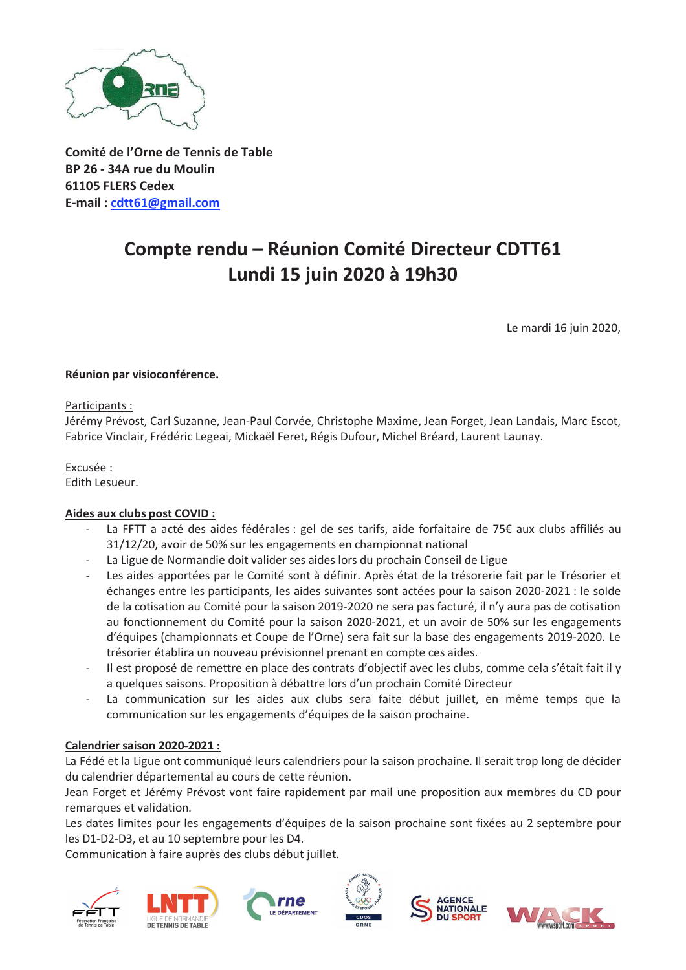

Comité de l'Orne de Tennis de Table BP 26 - 34A rue du Moulin 61105 FLFRS Cedex E-mail: cdtt61@gmail.com

# Compte rendu - Réunion Comité Directeur CDTT61 Lundi 15 juin 2020 à 19h30

Le mardi 16 juin 2020,

# Réunion par visioconférence.

#### Participants:

Jérémy Prévost, Carl Suzanne, Jean-Paul Corvée, Christophe Maxime, Jean Forget, Jean Landais, Marc Escot, Fabrice Vinclair, Frédéric Legeai, Mickaël Feret, Régis Dufour, Michel Bréard, Laurent Launay.

Excusée :

Edith Lesueur.

# Aides aux clubs post COVID :

- La FFTT a acté des aides fédérales : gel de ses tarifs, aide forfaitaire de 75€ aux clubs affiliés au 31/12/20, avoir de 50% sur les engagements en championnat national
- La Ligue de Normandie doit valider ses aides lors du prochain Conseil de Ligue
- Les aides apportées par le Comité sont à définir. Après état de la trésorerie fait par le Trésorier et échanges entre les participants, les aides suivantes sont actées pour la saison 2020-2021 : le solde de la cotisation au Comité pour la saison 2019-2020 ne sera pas facturé, il n'y aura pas de cotisation au fonctionnement du Comité pour la saison 2020-2021, et un avoir de 50% sur les engagements d'équipes (championnats et Coupe de l'Orne) sera fait sur la base des engagements 2019-2020. Le trésorier établira un nouveau prévisionnel prenant en compte ces aides.
- Il est proposé de remettre en place des contrats d'objectif avec les clubs, comme cela s'était fait il y a quelques saisons. Proposition à débattre lors d'un prochain Comité Directeur
- La communication sur les aides aux clubs sera faite début juillet, en même temps que la communication sur les engagements d'équipes de la saison prochaine.

# Calendrier saison 2020-2021 :

La Fédé et la Ligue ont communiqué leurs calendriers pour la saison prochaine. Il serait trop long de décider du calendrier départemental au cours de cette réunion.

Jean Forget et Jérémy Prévost vont faire rapidement par mail une proposition aux membres du CD pour remarques et validation.

Les dates limites pour les engagements d'équipes de la saison prochaine sont fixées au 2 septembre pour les D1-D2-D3, et au 10 septembre pour les D4.

Communication à faire auprès des clubs début juillet.











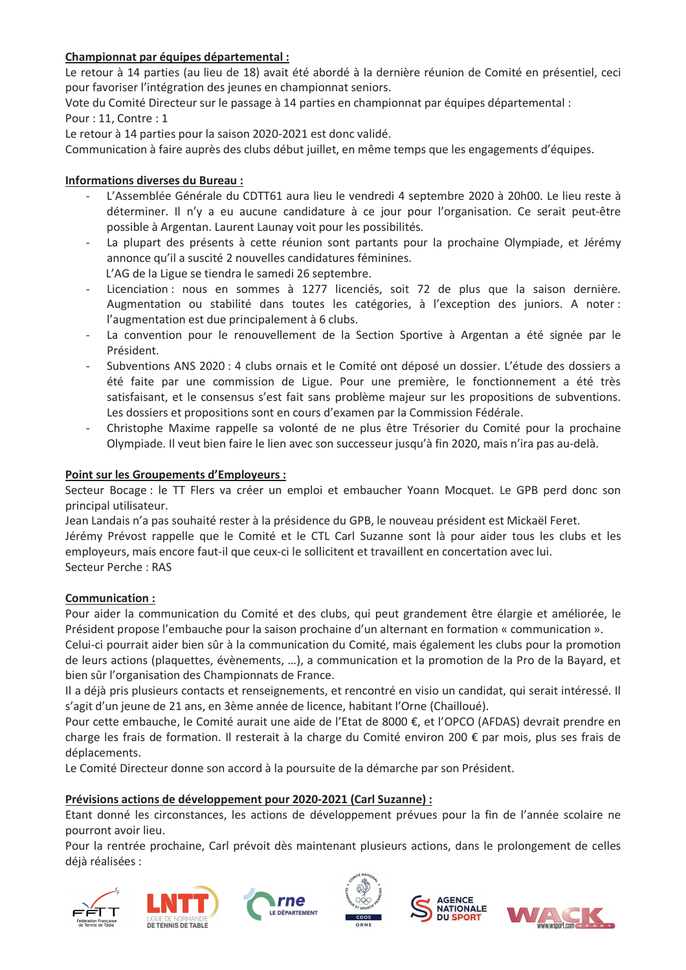# Championnat par équipes départemental :

Le retour à 14 parties (au lieu de 18) avait été abordé à la dernière réunion de Comité en présentiel, ceci pour favoriser l'intégration des jeunes en championnat seniors.

Vote du Comité Directeur sur le passage à 14 parties en championnat par équipes départemental : Pour: 11, Contre: 1

Le retour à 14 parties pour la saison 2020-2021 est donc validé.

Communication à faire auprès des clubs début juillet, en même temps que les engagements d'équipes.

# **Informations diverses du Bureau:**

- L'Assemblée Générale du CDTT61 aura lieu le vendredi 4 septembre 2020 à 20h00. Le lieu reste à déterminer. Il n'y a eu aucune candidature à ce jour pour l'organisation. Ce serait peut-être possible à Argentan. Laurent Launay voit pour les possibilités.
- La plupart des présents à cette réunion sont partants pour la prochaine Olympiade, et Jérémy annonce qu'il a suscité 2 nouvelles candidatures féminines. L'AG de la Ligue se tiendra le samedi 26 septembre.
- Licenciation : nous en sommes à 1277 licenciés, soit 72 de plus que la saison dernière. Augmentation ou stabilité dans toutes les catégories, à l'exception des juniors. A noter : l'augmentation est due principalement à 6 clubs.
- La convention pour le renouvellement de la Section Sportive à Argentan a été signée par le Président.
- Subventions ANS 2020 : 4 clubs ornais et le Comité ont déposé un dossier. L'étude des dossiers a été faite par une commission de Ligue. Pour une première, le fonctionnement a été très satisfaisant, et le consensus s'est fait sans problème majeur sur les propositions de subventions. Les dossiers et propositions sont en cours d'examen par la Commission Fédérale.
- Christophe Maxime rappelle sa volonté de ne plus être Trésorier du Comité pour la prochaine Olympiade. Il veut bien faire le lien avec son successeur jusqu'à fin 2020, mais n'ira pas au-delà.

# **Point sur les Groupements d'Employeurs :**

Secteur Bocage : le TT Flers va créer un emploi et embaucher Yoann Mocquet. Le GPB perd donc son principal utilisateur.

Jean Landais n'a pas souhaité rester à la présidence du GPB, le nouveau président est Mickaël Feret. Jérémy Prévost rappelle que le Comité et le CTL Carl Suzanne sont là pour aider tous les clubs et les employeurs, mais encore faut-il que ceux-ci le sollicitent et travaillent en concertation avec lui. Secteur Perche: RAS

# **Communication:**

Pour aider la communication du Comité et des clubs, qui peut grandement être élargie et améliorée, le Président propose l'embauche pour la saison prochaine d'un alternant en formation « communication ».

Celui-ci pourrait aider bien sûr à la communication du Comité, mais également les clubs pour la promotion de leurs actions (plaquettes, évènements, ...), a communication et la promotion de la Pro de la Bayard, et bien sûr l'organisation des Championnats de France.

Il a déjà pris plusieurs contacts et renseignements, et rencontré en visio un candidat, qui serait intéressé. Il s'agit d'un jeune de 21 ans, en 3ème année de licence, habitant l'Orne (Chailloué).

Pour cette embauche, le Comité aurait une aide de l'Etat de 8000 €, et l'OPCO (AFDAS) devrait prendre en charge les frais de formation. Il resterait à la charge du Comité environ 200 € par mois, plus ses frais de déplacements.

Le Comité Directeur donne son accord à la poursuite de la démarche par son Président.

# Prévisions actions de développement pour 2020-2021 (Carl Suzanne) :

Etant donné les circonstances, les actions de développement prévues pour la fin de l'année scolaire ne pourront avoir lieu.

Pour la rentrée prochaine, Carl prévoit dès maintenant plusieurs actions, dans le prolongement de celles déjà réalisées :